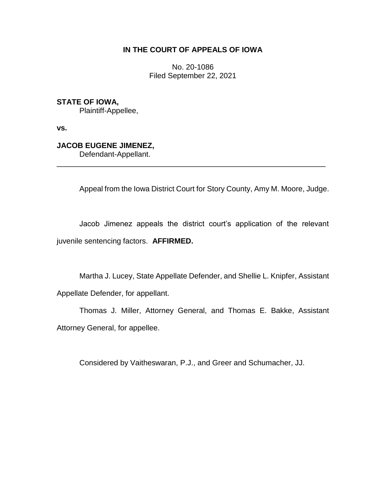## **IN THE COURT OF APPEALS OF IOWA**

No. 20-1086 Filed September 22, 2021

**STATE OF IOWA,**

Plaintiff-Appellee,

**vs.**

**JACOB EUGENE JIMENEZ,**

Defendant-Appellant.

Appeal from the Iowa District Court for Story County, Amy M. Moore, Judge.

Jacob Jimenez appeals the district court's application of the relevant juvenile sentencing factors. **AFFIRMED.**

\_\_\_\_\_\_\_\_\_\_\_\_\_\_\_\_\_\_\_\_\_\_\_\_\_\_\_\_\_\_\_\_\_\_\_\_\_\_\_\_\_\_\_\_\_\_\_\_\_\_\_\_\_\_\_\_\_\_\_\_\_\_\_\_

Martha J. Lucey, State Appellate Defender, and Shellie L. Knipfer, Assistant Appellate Defender, for appellant.

Thomas J. Miller, Attorney General, and Thomas E. Bakke, Assistant Attorney General, for appellee.

Considered by Vaitheswaran, P.J., and Greer and Schumacher, JJ.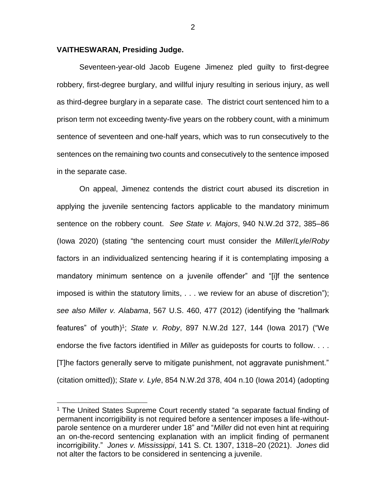## **VAITHESWARAN, Presiding Judge.**

 $\overline{a}$ 

Seventeen-year-old Jacob Eugene Jimenez pled guilty to first-degree robbery, first-degree burglary, and willful injury resulting in serious injury, as well as third-degree burglary in a separate case. The district court sentenced him to a prison term not exceeding twenty-five years on the robbery count, with a minimum sentence of seventeen and one-half years, which was to run consecutively to the sentences on the remaining two counts and consecutively to the sentence imposed in the separate case.

On appeal, Jimenez contends the district court abused its discretion in applying the juvenile sentencing factors applicable to the mandatory minimum sentence on the robbery count. *See State v. Majors*, 940 N.W.2d 372, 385–86 (Iowa 2020) (stating "the sentencing court must consider the *Miller*/*Lyle*/*Roby* factors in an individualized sentencing hearing if it is contemplating imposing a mandatory minimum sentence on a juvenile offender" and "[i]f the sentence imposed is within the statutory limits, . . . we review for an abuse of discretion"); *see also Miller v. Alabama*, 567 U.S. 460, 477 (2012) (identifying the "hallmark features" of youth)<sup>1</sup>; State v. Roby, 897 N.W.2d 127, 144 (lowa 2017) ("We endorse the five factors identified in *Miller* as guideposts for courts to follow. . . . [T]he factors generally serve to mitigate punishment, not aggravate punishment." (citation omitted)); *State v. Lyle*, 854 N.W.2d 378, 404 n.10 (Iowa 2014) (adopting

<sup>&</sup>lt;sup>1</sup> The United States Supreme Court recently stated "a separate factual finding of permanent incorrigibility is not required before a sentencer imposes a life-withoutparole sentence on a murderer under 18" and "*Miller* did not even hint at requiring an on-the-record sentencing explanation with an implicit finding of permanent incorrigibility." *Jones v. Mississippi*, 141 S. Ct. 1307, 1318–20 (2021).*Jones* did not alter the factors to be considered in sentencing a juvenile.